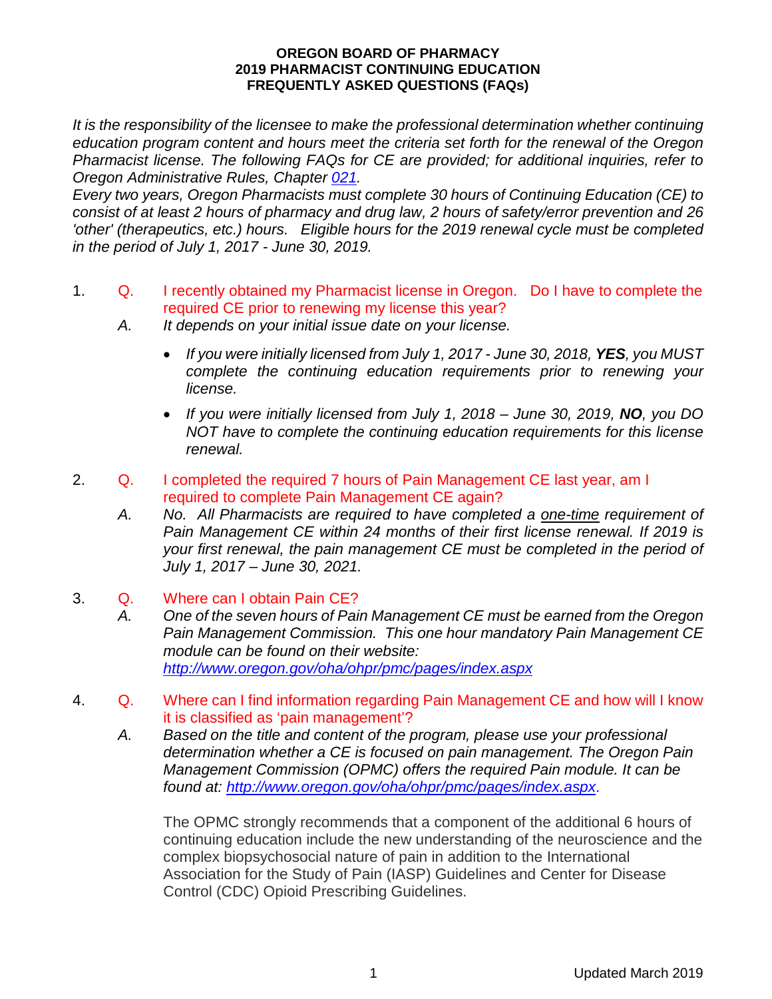## **OREGON BOARD OF PHARMACY 2019 PHARMACIST CONTINUING EDUCATION FREQUENTLY ASKED QUESTIONS (FAQs)**

*It is the responsibility of the licensee to make the professional determination whether continuing education program content and hours meet the criteria set forth for the renewal of the Oregon Pharmacist license. The following FAQs for CE are provided; for additional inquiries, refer to Oregon Administrative Rules, Chapter [021.](https://secure.sos.state.or.us/oard/displayDivisionRules.action?selectedDivision=3969)*

*Every two years, Oregon Pharmacists must complete 30 hours of Continuing Education (CE) to consist of at least 2 hours of pharmacy and drug law, 2 hours of safety/error prevention and 26 'other' (therapeutics, etc.) hours. Eligible hours for the 2019 renewal cycle must be completed in the period of July 1, 2017 - June 30, 2019.*

- 1. Q. I recently obtained my Pharmacist license in Oregon. Do I have to complete the required CE prior to renewing my license this year?
	- *A. It depends on your initial issue date on your license.*
		- *If you were initially licensed from July 1, 2017 - June 30, 2018, YES, you MUST complete the continuing education requirements prior to renewing your license.*
		- *If you were initially licensed from July 1, 2018 – June 30, 2019, NO, you DO NOT have to complete the continuing education requirements for this license renewal.*
- 2. Q. I completed the required 7 hours of Pain Management CE last year, am I required to complete Pain Management CE again?
	- *A. No. All Pharmacists are required to have completed a one-time requirement of Pain Management CE within 24 months of their first license renewal. If 2019 is your first renewal, the pain management CE must be completed in the period of July 1, 2017 – June 30, 2021.*
- 3. Q. Where can I obtain Pain CE?
	- *A. One of the seven hours of Pain Management CE must be earned from the Oregon Pain Management Commission. This one hour mandatory Pain Management CE module can be found on their website: <http://www.oregon.gov/oha/ohpr/pmc/pages/index.aspx>*
- 4. Q. Where can I find information regarding Pain Management CE and how will I know it is classified as 'pain management'?
	- *A. Based on the title and content of the program, please use your professional determination whether a CE is focused on pain management. The Oregon Pain Management Commission (OPMC) offers the required Pain module. It can be found at:<http://www.oregon.gov/oha/ohpr/pmc/pages/index.aspx>*.

The OPMC strongly recommends that a component of the additional 6 hours of continuing education include the new understanding of the neuroscience and the complex biopsychosocial nature of pain in addition to the International Association for the Study of Pain (IASP) Guidelines and Center for Disease Control (CDC) Opioid Prescribing Guidelines.